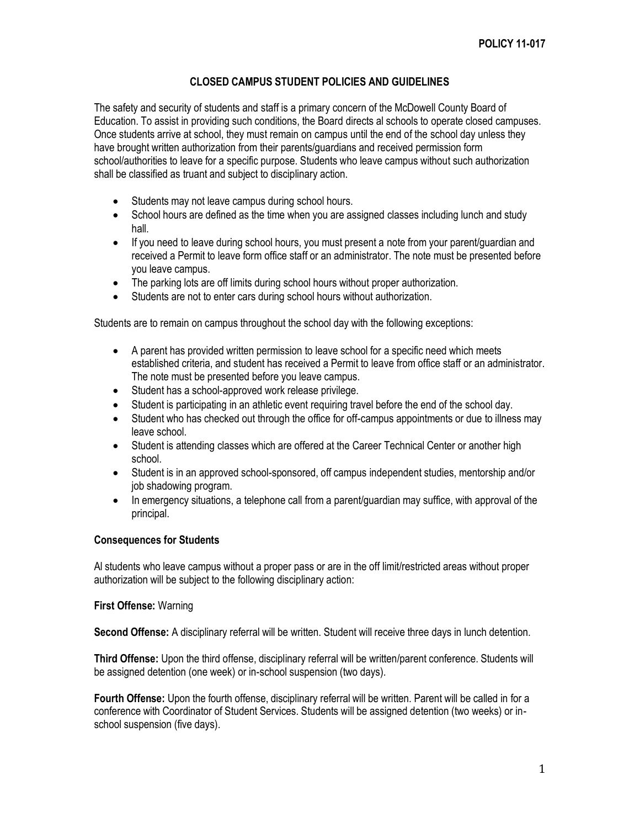# **CLOSED CAMPUS STUDENT POLICIES AND GUIDELINES**

The safety and security of students and staff is a primary concern of the McDowell County Board of Education. To assist in providing such conditions, the Board directs al schools to operate closed campuses. Once students arrive at school, they must remain on campus until the end of the school day unless they have brought written authorization from their parents/guardians and received permission form school/authorities to leave for a specific purpose. Students who leave campus without such authorization shall be classified as truant and subject to disciplinary action.

- Students may not leave campus during school hours.
- School hours are defined as the time when you are assigned classes including lunch and study hall.
- If you need to leave during school hours, you must present a note from your parent/quardian and received a Permit to leave form office staff or an administrator. The note must be presented before you leave campus.
- The parking lots are off limits during school hours without proper authorization.
- Students are not to enter cars during school hours without authorization.

Students are to remain on campus throughout the school day with the following exceptions:

- A parent has provided written permission to leave school for a specific need which meets established criteria, and student has received a Permit to leave from office staff or an administrator. The note must be presented before you leave campus.
- Student has a school-approved work release privilege.
- Student is participating in an athletic event requiring travel before the end of the school day.
- Student who has checked out through the office for off-campus appointments or due to illness may leave school.
- Student is attending classes which are offered at the Career Technical Center or another high school.
- Student is in an approved school-sponsored, off campus independent studies, mentorship and/or job shadowing program.
- In emergency situations, a telephone call from a parent/guardian may suffice, with approval of the principal.

### **Consequences for Students**

Al students who leave campus without a proper pass or are in the off limit/restricted areas without proper authorization will be subject to the following disciplinary action:

#### **First Offense:** Warning

**Second Offense:** A disciplinary referral will be written. Student will receive three days in lunch detention.

**Third Offense:** Upon the third offense, disciplinary referral will be written/parent conference. Students will be assigned detention (one week) or in-school suspension (two days).

**Fourth Offense:** Upon the fourth offense, disciplinary referral will be written. Parent will be called in for a conference with Coordinator of Student Services. Students will be assigned detention (two weeks) or inschool suspension (five days).